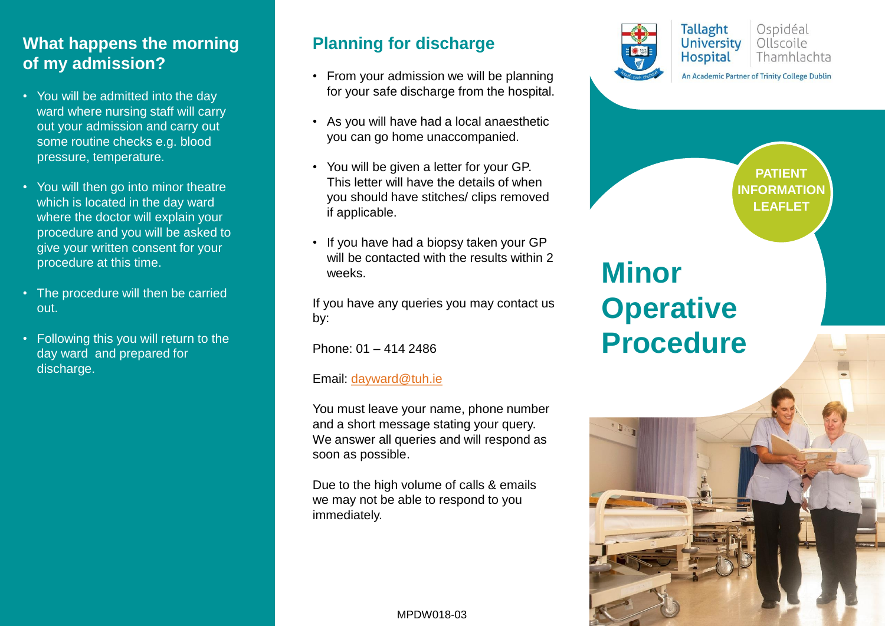#### **What happens the morning of my admission?**

- You will be admitted into the day ward where nursing staff will carry out your admission and carry out some routine checks e.g. blood pressure, temperature.
- You will then go into minor theatre which is located in the day ward where the doctor will explain your procedure and you will be asked to give your written consent for your procedure at this time.
- The procedure will then be carried out.
- Following this you will return to the day ward and prepared for discharge.

### **Planning for discharge**

- From your admission we will be planning for your safe discharge from the hospital.
- As you will have had a local anaesthetic you can go home unaccompanied.
- You will be given a letter for your GP. This letter will have the details of when you should have stitches/ clips removed if applicable.
- If you have had a biopsy taken your GP will be contacted with the results within 2 weeks.

If you have any queries you may contact us by:

Phone: 01 – 414 2486

#### Email: [dayward@tuh.ie](mailto:dayward@tuh.ie)

You must leave your name, phone number and a short message stating your query. We answer all queries and will respond as soon as possible.

Due to the high volume of calls & emails we may not be able to respond to you immediately.

#### MPDW018-03



Ospidéal University Ollscoile **Hospital** Thamhlachta

An Academic Partner of Trinity College Dublin

**PATIENT INFORMATION LEAFLET**

# **Minor Operative Procedure**